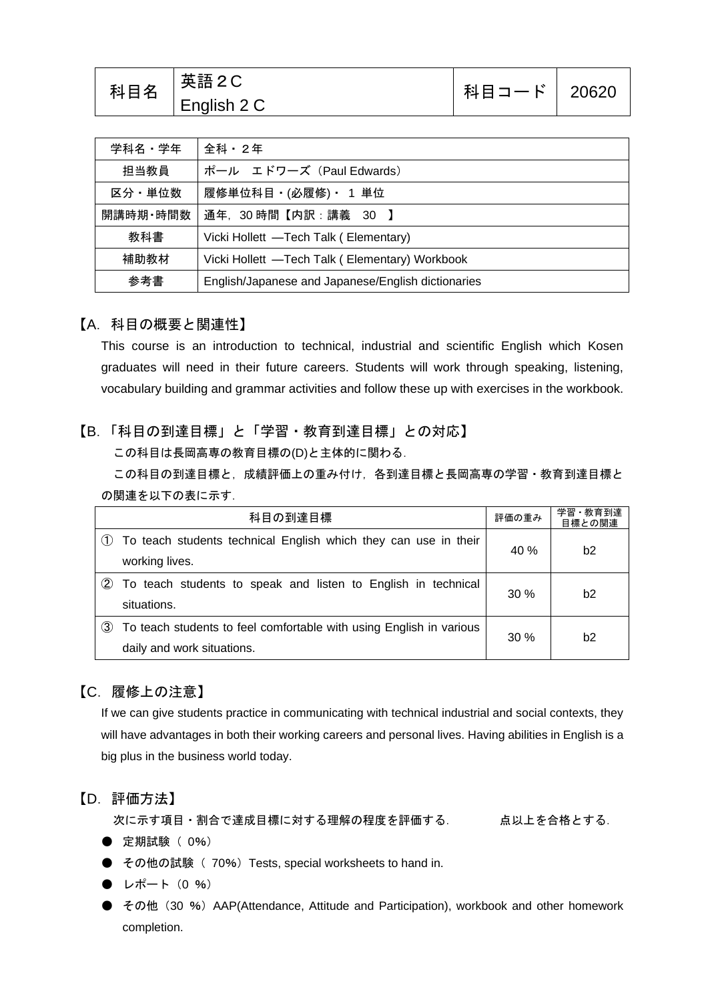| 科目名 | 英語2C<br>English 2 C | 科目コード   20620 |  |
|-----|---------------------|---------------|--|
|-----|---------------------|---------------|--|

| 学科名・学年                                                    | 全科・2年                                          |  |
|-----------------------------------------------------------|------------------------------------------------|--|
| 担当教員                                                      | ポール エドワーズ (Paul Edwards)                       |  |
| 区分・単位数                                                    | 履修単位科目・(必履修)・ 1 単位                             |  |
| 開講時期·時間数                                                  | 通年, 30時間【内訳:講義 30 】                            |  |
| 教科書                                                       | Vicki Hollett -Tech Talk (Elementary)          |  |
| 補助教材                                                      | Vicki Hollett -Tech Talk (Elementary) Workbook |  |
| 参考書<br>English/Japanese and Japanese/English dictionaries |                                                |  |

#### 【A.科目の概要と関連性】

This course is an introduction to technical, industrial and scientific English which Kosen graduates will need in their future careers. Students will work through speaking, listening, vocabulary building and grammar activities and follow these up with exercises in the workbook.

### 【B.「科目の到達目標」と「学習・教育到達目標」との対応】

この科目は長岡高専の教育目標の(D)と主体的に関わる.

この科目の到達目標と,成績評価上の重み付け,各到達目標と長岡高専の学習・教育到達目標と の関連を以下の表に示す.

| 科目の到達目標 |                                                                     | 評価の重み  | 学習·教育到達<br>目標との関連 |
|---------|---------------------------------------------------------------------|--------|-------------------|
|         | To teach students technical English which they can use in their     | 40 %   | b2                |
|         | working lives.                                                      |        |                   |
| (2)     | To teach students to speak and listen to English in technical       | 30%    | b2                |
|         | situations.                                                         |        |                   |
| (3)     | To teach students to feel comfortable with using English in various | $30\%$ | b <sub>2</sub>    |
|         | daily and work situations.                                          |        |                   |

## 【C.履修上の注意】

If we can give students practice in communicating with technical industrial and social contexts, they will have advantages in both their working careers and personal lives. Having abilities in English is a big plus in the business world today.

#### 【D.評価方法】

次に示す項目・割合で達成目標に対する理解の程度を評価する. 点以上を合格とする.

- 定期試験 ( 0%)
- その他の試験 (70%) Tests, special worksheets to hand in.
- $\bullet$  レポート (0 %)
- その他 (30 %) AAP(Attendance, Attitude and Participation), workbook and other homework completion.